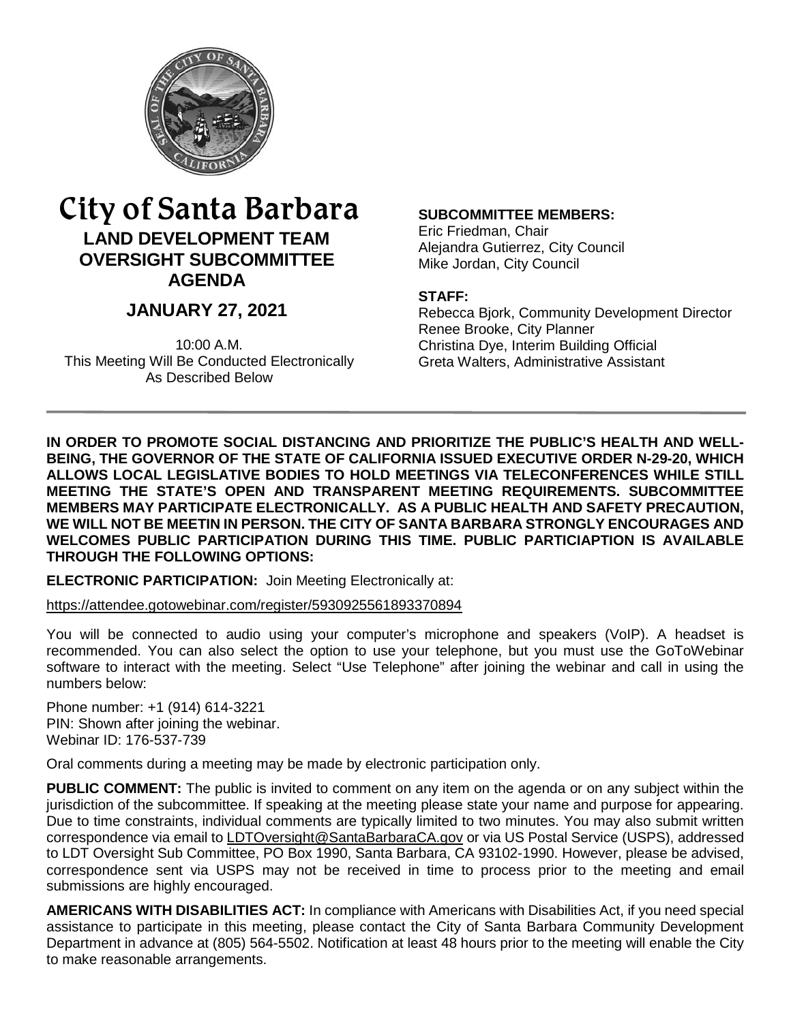

# City of Santa Barbara **LAND DEVELOPMENT TEAM OVERSIGHT SUBCOMMITTEE AGENDA**

# **JANUARY 27, 2021**

10:00 A.M. This Meeting Will Be Conducted Electronically As Described Below

#### **SUBCOMMITTEE MEMBERS:**

Eric Friedman, Chair Alejandra Gutierrez, City Council Mike Jordan, City Council

#### **STAFF:**

Rebecca Bjork, Community Development Director Renee Brooke, City Planner Christina Dye, Interim Building Official Greta Walters, Administrative Assistant

**IN ORDER TO PROMOTE SOCIAL DISTANCING AND PRIORITIZE THE PUBLIC'S HEALTH AND WELL-BEING, THE GOVERNOR OF THE STATE OF CALIFORNIA ISSUED EXECUTIVE ORDER N-29-20, WHICH ALLOWS LOCAL LEGISLATIVE BODIES TO HOLD MEETINGS VIA TELECONFERENCES WHILE STILL MEETING THE STATE'S OPEN AND TRANSPARENT MEETING REQUIREMENTS. SUBCOMMITTEE MEMBERS MAY PARTICIPATE ELECTRONICALLY. AS A PUBLIC HEALTH AND SAFETY PRECAUTION, WE WILL NOT BE MEETIN IN PERSON. THE CITY OF SANTA BARBARA STRONGLY ENCOURAGES AND WELCOMES PUBLIC PARTICIPATION DURING THIS TIME. PUBLIC PARTICIAPTION IS AVAILABLE THROUGH THE FOLLOWING OPTIONS:** 

**ELECTRONIC PARTICIPATION:** Join Meeting Electronically at:

<https://attendee.gotowebinar.com/register/5930925561893370894>

You will be connected to audio using your computer's microphone and speakers (VoIP). A headset is recommended. You can also select the option to use your telephone, but you must use the GoToWebinar software to interact with the meeting. Select "Use Telephone" after joining the webinar and call in using the numbers below:

Phone number: +1 (914) 614-3221 PIN: Shown after joining the webinar. Webinar ID: 176-537-739

Oral comments during a meeting may be made by electronic participation only.

**PUBLIC COMMENT:** The public is invited to comment on any item on the agenda or on any subject within the jurisdiction of the subcommittee. If speaking at the meeting please state your name and purpose for appearing. Due to time constraints, individual comments are typically limited to two minutes. You may also submit written correspondence via email to [LDTOversight@SantaBarbaraCA.gov](mailto:LDTOversight@SantaBarbaraCA.gov) or via US Postal Service (USPS), addressed to LDT Oversight Sub Committee, PO Box 1990, Santa Barbara, CA 93102-1990. However, please be advised, correspondence sent via USPS may not be received in time to process prior to the meeting and email submissions are highly encouraged.

**AMERICANS WITH DISABILITIES ACT:** In compliance with Americans with Disabilities Act, if you need special assistance to participate in this meeting, please contact the City of Santa Barbara Community Development Department in advance at (805) 564-5502. Notification at least 48 hours prior to the meeting will enable the City to make reasonable arrangements.